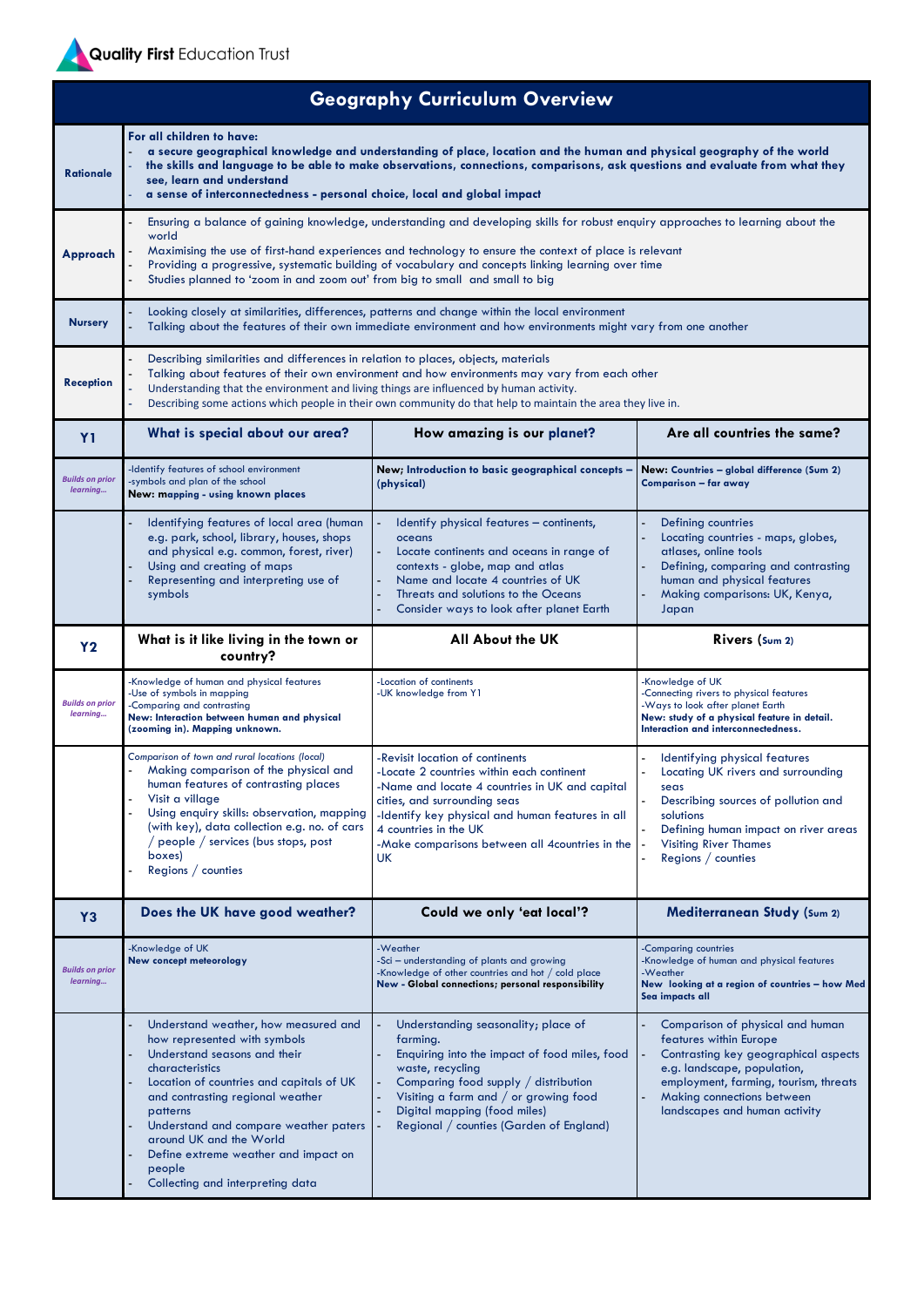

| <b>Geography Curriculum Overview</b> |                                                                                                                                                                                                                                                                                                                                                                                                                                           |                                                                                                                                                                                                                                                                                                             |                                                                                                                                                                                                                                           |  |  |
|--------------------------------------|-------------------------------------------------------------------------------------------------------------------------------------------------------------------------------------------------------------------------------------------------------------------------------------------------------------------------------------------------------------------------------------------------------------------------------------------|-------------------------------------------------------------------------------------------------------------------------------------------------------------------------------------------------------------------------------------------------------------------------------------------------------------|-------------------------------------------------------------------------------------------------------------------------------------------------------------------------------------------------------------------------------------------|--|--|
| <b>Rationale</b>                     | For all children to have:<br>a secure geographical knowledge and understanding of place, location and the human and physical geography of the world<br>the skills and language to be able to make observations, connections, comparisons, ask questions and evaluate from what they<br>see, learn and understand<br>a sense of interconnectedness - personal choice, local and global impact                                              |                                                                                                                                                                                                                                                                                                             |                                                                                                                                                                                                                                           |  |  |
| Approach                             | Ensuring a balance of gaining knowledge, understanding and developing skills for robust enquiry approaches to learning about the<br>world<br>Maximising the use of first-hand experiences and technology to ensure the context of place is relevant<br>Providing a progressive, systematic building of vocabulary and concepts linking learning over time<br>Studies planned to 'zoom in and zoom out' from big to small and small to big |                                                                                                                                                                                                                                                                                                             |                                                                                                                                                                                                                                           |  |  |
| <b>Nursery</b>                       | Looking closely at similarities, differences, patterns and change within the local environment<br>Talking about the features of their own immediate environment and how environments might vary from one another                                                                                                                                                                                                                          |                                                                                                                                                                                                                                                                                                             |                                                                                                                                                                                                                                           |  |  |
| <b>Reception</b>                     | Describing similarities and differences in relation to places, objects, materials<br>Talking about features of their own environment and how environments may vary from each other<br>Understanding that the environment and living things are influenced by human activity.<br>Describing some actions which people in their own community do that help to maintain the area they live in.                                               |                                                                                                                                                                                                                                                                                                             |                                                                                                                                                                                                                                           |  |  |
| <b>Y1</b>                            | What is special about our area?                                                                                                                                                                                                                                                                                                                                                                                                           | How amazing is our planet?                                                                                                                                                                                                                                                                                  | Are all countries the same?                                                                                                                                                                                                               |  |  |
| <b>Builds on prior</b><br>learning   | -Identify features of school environment<br>-symbols and plan of the school<br>New: mapping - using known places                                                                                                                                                                                                                                                                                                                          | New; Introduction to basic geographical concepts -<br>(physical)                                                                                                                                                                                                                                            | New: Countries - global difference (Sum 2)<br>Comparison - far away                                                                                                                                                                       |  |  |
|                                      | Identifying features of local area (human<br>e.g. park, school, library, houses, shops<br>and physical e.g. common, forest, river)<br>Using and creating of maps<br>Representing and interpreting use of<br>symbols                                                                                                                                                                                                                       | Identify physical features - continents,<br>oceans<br>Locate continents and oceans in range of<br>contexts - globe, map and atlas<br>Name and locate 4 countries of UK<br>Threats and solutions to the Oceans<br>Consider ways to look after planet Earth                                                   | <b>Defining countries</b><br>Locating countries - maps, globes,<br>atlases, online tools<br>Defining, comparing and contrasting<br>human and physical features<br>Making comparisons: UK, Kenya,<br>Japan                                 |  |  |
| <b>Y2</b>                            | What is it like living in the town or<br>country?                                                                                                                                                                                                                                                                                                                                                                                         | <b>All About the UK</b>                                                                                                                                                                                                                                                                                     | Rivers (Sum 2)                                                                                                                                                                                                                            |  |  |
| <b>Builds on prior</b><br>learning   | -Knowledge of human and physical features<br>-Use of symbols in mapping<br>-Comparing and contrasting<br>New: Interaction between human and physical<br>(zooming in). Mapping unknown.                                                                                                                                                                                                                                                    | -Location of continents<br>-UK knowledge from Y1                                                                                                                                                                                                                                                            | -Knowledge of UK<br>-Connecting rivers to physical features<br>-Ways to look after planet Earth<br>New: study of a physical feature in detail.<br>Interaction and interconnectedness.                                                     |  |  |
|                                      | Comparison of town and rural locations (local)<br>Making comparison of the physical and<br>human features of contrasting places<br>Visit a village<br>Using enquiry skills: observation, mapping<br>(with key), data collection e.g. no. of cars<br>$\frac{1}{2}$ people $\frac{1}{2}$ services (bus stops, post<br>boxes)<br>Regions $\sqrt{\ }$ counties                                                                                | -Revisit location of continents<br>-Locate 2 countries within each continent<br>-Name and locate 4 countries in UK and capital<br>cities, and surrounding seas<br>-Identify key physical and human features in all<br>4 countries in the UK<br>-Make comparisons between all 4countries in the<br><b>UK</b> | Identifying physical features<br>Locating UK rivers and surrounding<br>seas<br>Describing sources of pollution and<br>solutions<br>Defining human impact on river areas<br><b>Visiting River Thames</b><br>Regions $\sqrt{\ }$ counties   |  |  |
| <b>Y3</b>                            | Does the UK have good weather?                                                                                                                                                                                                                                                                                                                                                                                                            | Could we only 'eat local'?                                                                                                                                                                                                                                                                                  | <b>Mediterranean Study (Sum 2)</b>                                                                                                                                                                                                        |  |  |
| <b>Builds on prior</b><br>learning   | Knowledge of UK<br>New concept meteorology                                                                                                                                                                                                                                                                                                                                                                                                | -Weather<br>-Sci – understanding of plants and growing<br>-Knowledge of other countries and hot $/$ cold place<br>New - Global connections; personal responsibility                                                                                                                                         | Comparing countries<br>-Knowledge of human and physical features<br>-Weather<br>New looking at a region of countries - how Med<br>Sea impacts all                                                                                         |  |  |
|                                      | Understand weather, how measured and<br>how represented with symbols<br>Understand seasons and their<br>characteristics<br>Location of countries and capitals of UK<br>and contrasting regional weather<br>patterns<br>Understand and compare weather paters<br>around UK and the World<br>Define extreme weather and impact on<br>people<br>Collecting and interpreting data                                                             | Understanding seasonality; place of<br>farming.<br>Enquiring into the impact of food miles, food<br>waste, recycling<br>Comparing food supply $/$ distribution<br>Visiting a farm and $/$ or growing food<br>Digital mapping (food miles)<br>Regional / counties (Garden of England)                        | Comparison of physical and human<br>features within Europe<br>Contrasting key geographical aspects<br>e.g. landscape, population,<br>employment, farming, tourism, threats<br>Making connections between<br>landscapes and human activity |  |  |